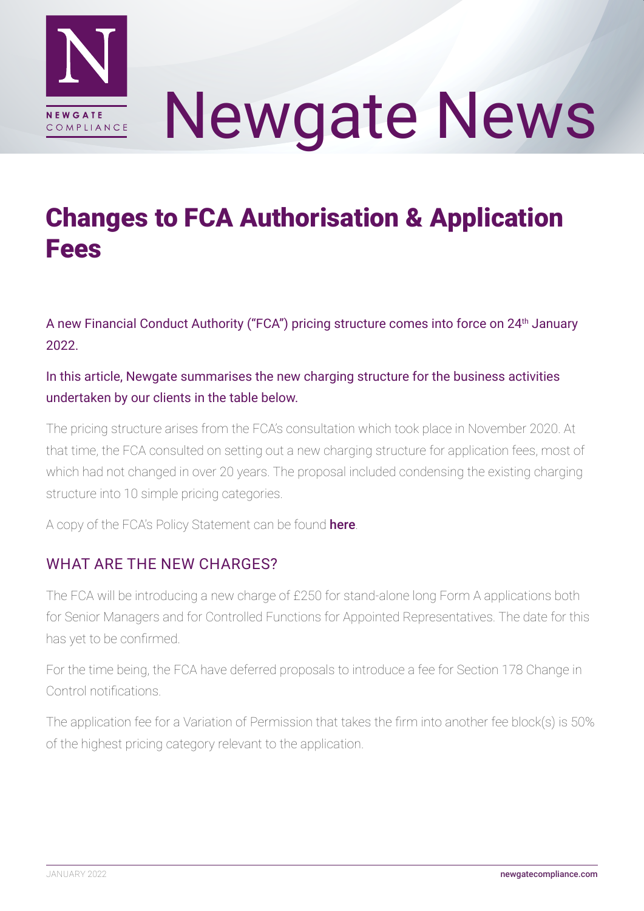

# Newgate News

# Changes to FCA Authorisation & Application **Fees**

A new Financial Conduct Authority ("FCA") pricing structure comes into force on 24th January 2022.

#### In this article, Newgate summarises the new charging structure for the business activities undertaken by our clients in the table below.

The pricing structure arises from the FCA's consultation which took place in November 2020. At that time, the FCA consulted on setting out a new charging structure for application fees, most of which had not changed in over 20 years. The proposal included condensing the existing charging structure into 10 simple pricing categories.

A copy of the FCA's Policy Statement can be found [here](https://www.fca.org.uk/publication/policy/ps22-1.pdf).

### WHAT ARE THE NEW CHARGES?

The FCA will be introducing a new charge of £250 for stand-alone long Form A applications both for Senior Managers and for Controlled Functions for Appointed Representatives. The date for this has yet to be confirmed.

For the time being, the FCA have deferred proposals to introduce a fee for Section 178 Change in Control notifications.

The application fee for a Variation of Permission that takes the firm into another fee block(s) is 50% of the highest pricing category relevant to the application.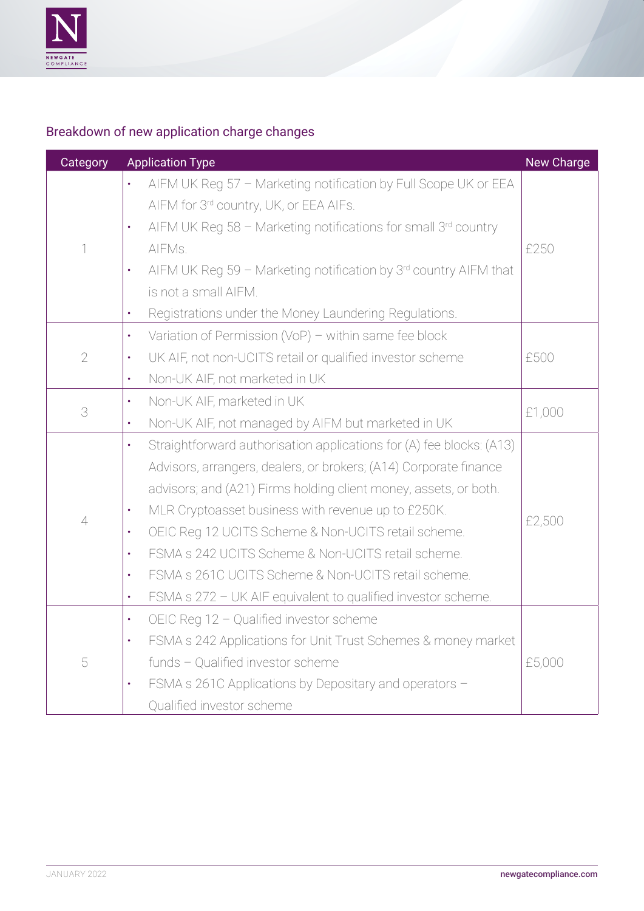

# Breakdown of new application charge changes

| Category       | <b>Application Type</b>                                                           | New Charge |
|----------------|-----------------------------------------------------------------------------------|------------|
| 1              | AIFM UK Reg 57 - Marketing notification by Full Scope UK or EEA<br>$\bullet$      | £250       |
|                | AIFM for 3rd country, UK, or EEA AIFs.                                            |            |
|                | AIFM UK Reg 58 - Marketing notifications for small 3rd country<br>$\bullet$       |            |
|                | AIFMs.                                                                            |            |
|                | AIFM UK Reg 59 - Marketing notification by $3rd$ country AIFM that<br>$\bullet$   |            |
|                | is not a small AIFM.                                                              |            |
|                | Registrations under the Money Laundering Regulations.<br>$\bullet$                |            |
| $\sqrt{2}$     | Variation of Permission (VoP) - within same fee block<br>$\bullet$                | £500       |
|                | UK AIF, not non-UCITS retail or qualified investor scheme<br>$\bullet$            |            |
|                | Non-UK AIF, not marketed in UK<br>$\bullet$                                       |            |
| 3              | Non-UK AIF, marketed in UK<br>$\bullet$                                           | £1,000     |
|                | Non-UK AIF, not managed by AIFM but marketed in UK<br>$\bullet$                   |            |
| $\overline{4}$ | Straightforward authorisation applications for (A) fee blocks: (A13)<br>$\bullet$ | £2,500     |
|                | Advisors, arrangers, dealers, or brokers; (A14) Corporate finance                 |            |
|                | advisors; and (A21) Firms holding client money, assets, or both.                  |            |
|                | MLR Cryptoasset business with revenue up to £250K.<br>$\bullet$                   |            |
|                | OEIC Reg 12 UCITS Scheme & Non-UCITS retail scheme.<br>$\bullet$                  |            |
|                | FSMA s 242 UCITS Scheme & Non-UCITS retail scheme.<br>$\bullet$                   |            |
|                | FSMA s 261C UCITS Scheme & Non-UCITS retail scheme.<br>$\bullet$                  |            |
|                | FSMA s 272 - UK AIF equivalent to qualified investor scheme.<br>$\bullet$         |            |
| 5              | OEIC Reg 12 - Qualified investor scheme<br>$\bullet$                              | £5,000     |
|                | FSMA s 242 Applications for Unit Trust Schemes & money market<br>$\bullet$        |            |
|                | funds - Qualified investor scheme                                                 |            |
|                | FSMA s 261C Applications by Depositary and operators -<br>$\bullet$               |            |
|                | Qualified investor scheme                                                         |            |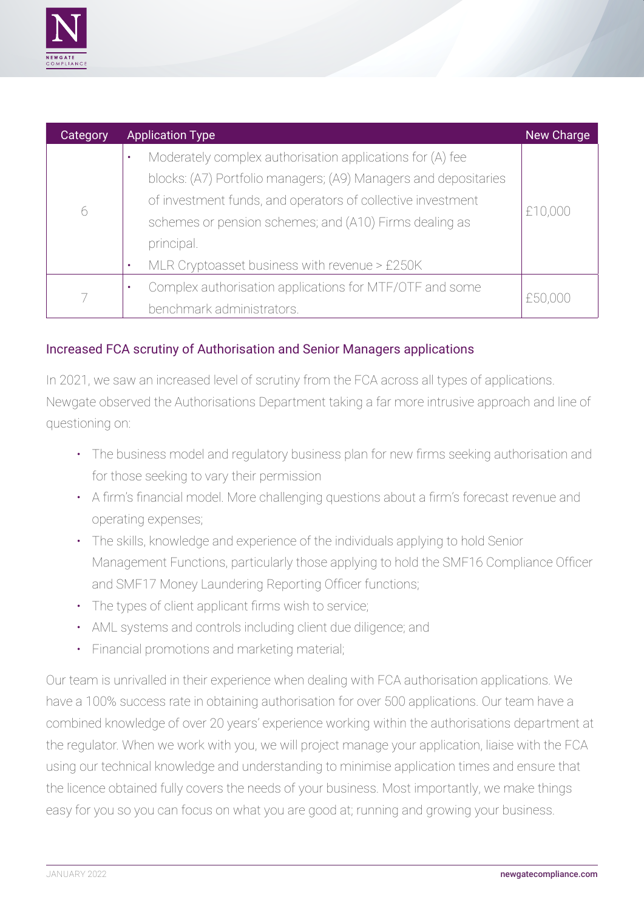

| Category | <b>Application Type</b>                                         | New Charge |
|----------|-----------------------------------------------------------------|------------|
| 6        | Moderately complex authorisation applications for (A) fee<br>٠  | £10,000    |
|          | blocks: (A7) Portfolio managers; (A9) Managers and depositaries |            |
|          | of investment funds, and operators of collective investment     |            |
|          | schemes or pension schemes; and (A10) Firms dealing as          |            |
|          | principal.                                                      |            |
|          | MLR Cryptoasset business with revenue > £250K<br>٠              |            |
|          | Complex authorisation applications for MTF/OTF and some<br>٠    | £50,000    |
|          | benchmark administrators.                                       |            |

#### Increased FCA scrutiny of Authorisation and Senior Managers applications

In 2021, we saw an increased level of scrutiny from the FCA across all types of applications. Newgate observed the Authorisations Department taking a far more intrusive approach and line of questioning on:

- The business model and regulatory business plan for new firms seeking authorisation and for those seeking to vary their permission
- A firm's financial model. More challenging questions about a firm's forecast revenue and operating expenses;
- The skills, knowledge and experience of the individuals applying to hold Senior Management Functions, particularly those applying to hold the SMF16 Compliance Officer and SMF17 Money Laundering Reporting Officer functions;
- The types of client applicant firms wish to service;
- AML systems and controls including client due diligence; and
- Financial promotions and marketing material;

Our team is unrivalled in their experience when dealing with FCA authorisation applications. We have a 100% success rate in obtaining authorisation for over 500 applications. Our team have a combined knowledge of over 20 years' experience working within the authorisations department at the regulator. When we work with you, we will project manage your application, liaise with the FCA using our technical knowledge and understanding to minimise application times and ensure that the licence obtained fully covers the needs of your business. Most importantly, we make things easy for you so you can focus on what you are good at; running and growing your business.